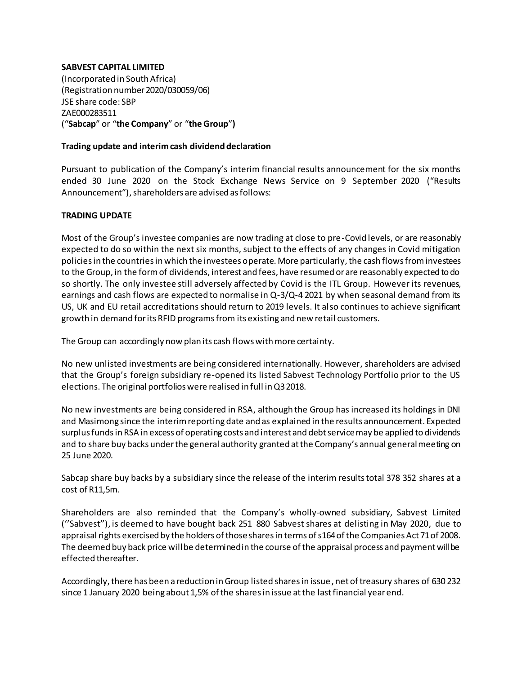## **SABVEST CAPITAL LIMITED**

(Incorporated in South Africa) (Registration number 2020/030059/06) JSE share code: SBP ZAE000283511 ("**Sabcap**" or "**the Company**" or "**the Group**"**)**

## **Trading update and interim cash dividend declaration**

Pursuant to publication of the Company's interim financial results announcement for the six months ended 30 June 2020 on the Stock Exchange News Service on 9 September 2020 ("Results Announcement"), shareholders are advised as follows:

## **TRADING UPDATE**

Most of the Group's investee companies are now trading at close to pre-Covid levels, or are reasonably expected to do so within the next six months, subject to the effects of any changes in Covid mitigation policies in the countries in which the investees operate. More particularly, the cash flows from investees to the Group, in the form of dividends, interest and fees, have resumed or are reasonably expected to do so shortly. The only investee still adversely affected by Covid is the ITL Group. However its revenues, earnings and cash flows are expected to normalise in Q-3/Q-4 2021 by when seasonal demand from its US, UK and EU retail accreditations should return to 2019 levels. It also continues to achieve significant growth in demand for its RFID programs from its existing and new retail customers.

The Group can accordingly now plan its cash flows with more certainty.

No new unlisted investments are being considered internationally. However, shareholders are advised that the Group's foreign subsidiary re-opened its listed Sabvest Technology Portfolio prior to the US elections. The original portfolios were realised in full in Q3 2018.

No new investments are being considered in RSA, although the Group has increased its holdings in DNI and Masimong since the interim reporting date and as explained in the results announcement. Expected surplus funds in RSA in excess of operating costs and interest and debt service may be applied to dividends and to share buy backs under the general authority granted at the Company's annual general meeting on 25 June 2020.

Sabcap share buy backs by a subsidiary since the release of the interim results total 378 352 shares at a cost of R11,5m.

Shareholders are also reminded that the Company's wholly-owned subsidiary, Sabvest Limited (''Sabvest''), is deemed to have bought back 251 880 Sabvest shares at delisting in May 2020, due to appraisal rights exercised by the holders of those sharesin terms of s164 of the Companies Act 71 of 2008. The deemed buy back price will be determined in the course of the appraisal process and payment will be effected thereafter.

Accordingly, there has been a reduction in Group listed shares in issue, net of treasury shares of 630 232 since 1 January 2020 being about 1,5% of the shares in issue at the last financial year end.